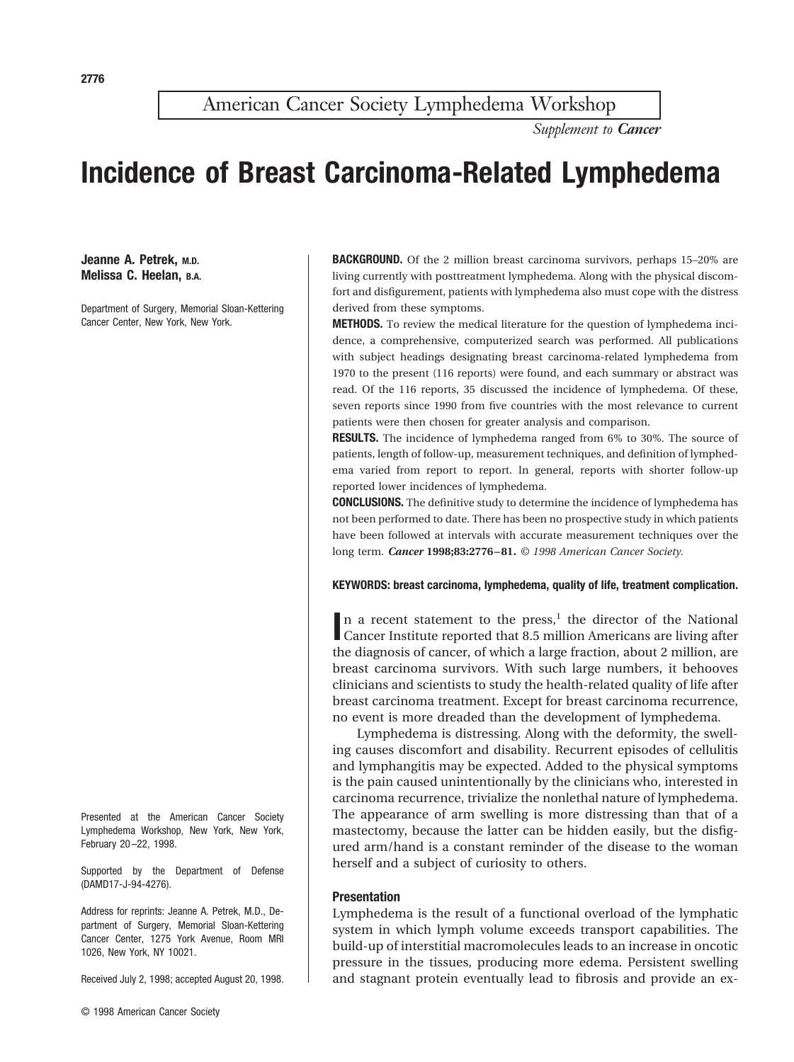American Cancer Society Lymphedema Workshop

*Supplement to Cancer*

# **Incidence of Breast Carcinoma-Related Lymphedema**

**Jeanne A. Petrek, M.D. Melissa C. Heelan, B.A.**

Department of Surgery, Memorial Sloan-Kettering Cancer Center, New York, New York.

Presented at the American Cancer Society Lymphedema Workshop, New York, New York, February 20–22, 1998.

Supported by the Department of Defense (DAMD17-J-94-4276).

Address for reprints: Jeanne A. Petrek, M.D., Department of Surgery, Memorial Sloan-Kettering Cancer Center, 1275 York Avenue, Room MRI 1026, New York, NY 10021.

Received July 2, 1998; accepted August 20, 1998.

**BACKGROUND.** Of the 2 million breast carcinoma survivors, perhaps 15–20% are living currently with posttreatment lymphedema. Along with the physical discomfort and disfigurement, patients with lymphedema also must cope with the distress derived from these symptoms.

**METHODS.** To review the medical literature for the question of lymphedema incidence, a comprehensive, computerized search was performed. All publications with subject headings designating breast carcinoma-related lymphedema from 1970 to the present (116 reports) were found, and each summary or abstract was read. Of the 116 reports, 35 discussed the incidence of lymphedema. Of these, seven reports since 1990 from five countries with the most relevance to current patients were then chosen for greater analysis and comparison.

**RESULTS.** The incidence of lymphedema ranged from 6% to 30%. The source of patients, length of follow-up, measurement techniques, and definition of lymphedema varied from report to report. In general, reports with shorter follow-up reported lower incidences of lymphedema.

**CONCLUSIONS.** The definitive study to determine the incidence of lymphedema has not been performed to date. There has been no prospective study in which patients have been followed at intervals with accurate measurement techniques over the long term. *Cancer* **1998;83:2776 – 81.** *© 1998 American Cancer Society.*

## **KEYWORDS: breast carcinoma, lymphedema, quality of life, treatment complication.**

In a recent statement to the press,<sup>1</sup> the director of the National Cancer Institute reported that 8.5 million Americans are living after Cancer Institute reported that 8.5 million Americans are living after the diagnosis of cancer, of which a large fraction, about 2 million, are breast carcinoma survivors. With such large numbers, it behooves clinicians and scientists to study the health-related quality of life after breast carcinoma treatment. Except for breast carcinoma recurrence, no event is more dreaded than the development of lymphedema.

Lymphedema is distressing. Along with the deformity, the swelling causes discomfort and disability. Recurrent episodes of cellulitis and lymphangitis may be expected. Added to the physical symptoms is the pain caused unintentionally by the clinicians who, interested in carcinoma recurrence, trivialize the nonlethal nature of lymphedema. The appearance of arm swelling is more distressing than that of a mastectomy, because the latter can be hidden easily, but the disfigured arm/hand is a constant reminder of the disease to the woman herself and a subject of curiosity to others.

#### **Presentation**

Lymphedema is the result of a functional overload of the lymphatic system in which lymph volume exceeds transport capabilities. The build-up of interstitial macromolecules leads to an increase in oncotic pressure in the tissues, producing more edema. Persistent swelling and stagnant protein eventually lead to fibrosis and provide an ex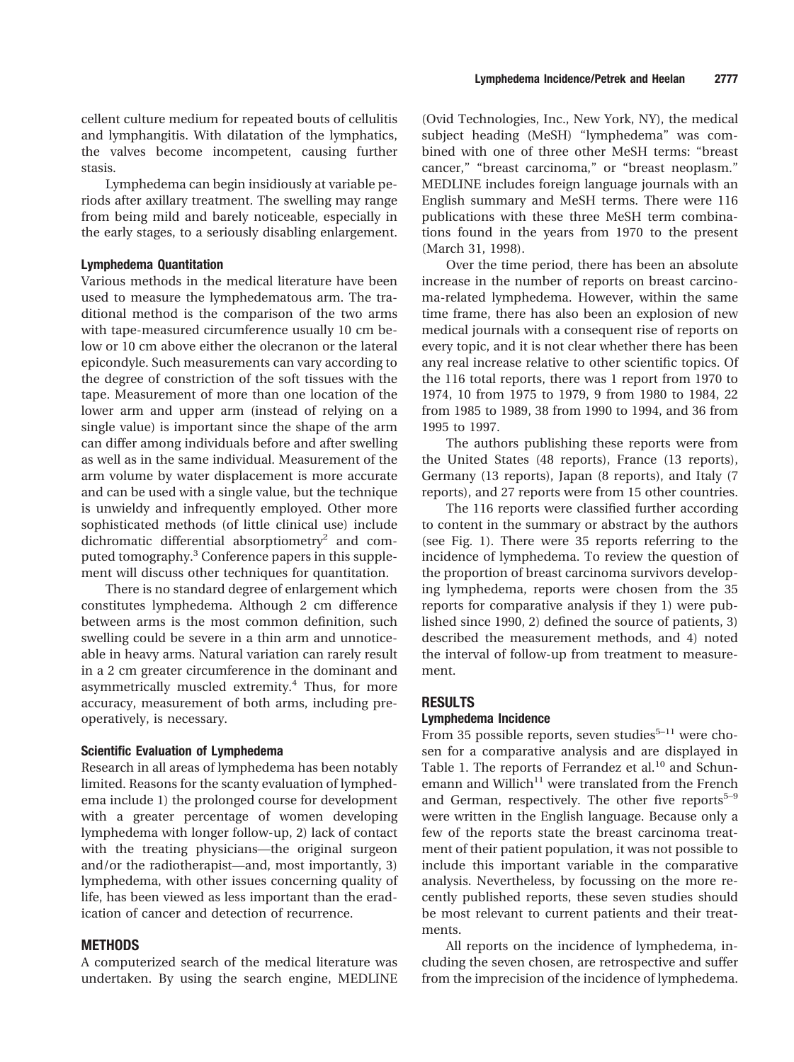cellent culture medium for repeated bouts of cellulitis and lymphangitis. With dilatation of the lymphatics, the valves become incompetent, causing further stasis.

Lymphedema can begin insidiously at variable periods after axillary treatment. The swelling may range from being mild and barely noticeable, especially in the early stages, to a seriously disabling enlargement.

## **Lymphedema Quantitation**

Various methods in the medical literature have been used to measure the lymphedematous arm. The traditional method is the comparison of the two arms with tape-measured circumference usually 10 cm below or 10 cm above either the olecranon or the lateral epicondyle. Such measurements can vary according to the degree of constriction of the soft tissues with the tape. Measurement of more than one location of the lower arm and upper arm (instead of relying on a single value) is important since the shape of the arm can differ among individuals before and after swelling as well as in the same individual. Measurement of the arm volume by water displacement is more accurate and can be used with a single value, but the technique is unwieldy and infrequently employed. Other more sophisticated methods (of little clinical use) include dichromatic differential absorptiometry<sup>2</sup> and computed tomography.3 Conference papers in this supplement will discuss other techniques for quantitation.

There is no standard degree of enlargement which constitutes lymphedema. Although 2 cm difference between arms is the most common definition, such swelling could be severe in a thin arm and unnoticeable in heavy arms. Natural variation can rarely result in a 2 cm greater circumference in the dominant and asymmetrically muscled extremity.<sup>4</sup> Thus, for more accuracy, measurement of both arms, including preoperatively, is necessary.

#### **Scientific Evaluation of Lymphedema**

Research in all areas of lymphedema has been notably limited. Reasons for the scanty evaluation of lymphedema include 1) the prolonged course for development with a greater percentage of women developing lymphedema with longer follow-up, 2) lack of contact with the treating physicians—the original surgeon and/or the radiotherapist—and, most importantly, 3) lymphedema, with other issues concerning quality of life, has been viewed as less important than the eradication of cancer and detection of recurrence.

# **METHODS**

A computerized search of the medical literature was undertaken. By using the search engine, MEDLINE

(Ovid Technologies, Inc., New York, NY), the medical subject heading (MeSH) "lymphedema" was combined with one of three other MeSH terms: "breast cancer," "breast carcinoma," or "breast neoplasm." MEDLINE includes foreign language journals with an English summary and MeSH terms. There were 116 publications with these three MeSH term combinations found in the years from 1970 to the present (March 31, 1998).

Over the time period, there has been an absolute increase in the number of reports on breast carcinoma-related lymphedema. However, within the same time frame, there has also been an explosion of new medical journals with a consequent rise of reports on every topic, and it is not clear whether there has been any real increase relative to other scientific topics. Of the 116 total reports, there was 1 report from 1970 to 1974, 10 from 1975 to 1979, 9 from 1980 to 1984, 22 from 1985 to 1989, 38 from 1990 to 1994, and 36 from 1995 to 1997.

The authors publishing these reports were from the United States (48 reports), France (13 reports), Germany (13 reports), Japan (8 reports), and Italy (7 reports), and 27 reports were from 15 other countries.

The 116 reports were classified further according to content in the summary or abstract by the authors (see Fig. 1). There were 35 reports referring to the incidence of lymphedema. To review the question of the proportion of breast carcinoma survivors developing lymphedema, reports were chosen from the 35 reports for comparative analysis if they 1) were published since 1990, 2) defined the source of patients, 3) described the measurement methods, and 4) noted the interval of follow-up from treatment to measurement.

## **RESULTS**

# **Lymphedema Incidence**

From 35 possible reports, seven studies<sup>5–11</sup> were chosen for a comparative analysis and are displayed in Table 1. The reports of Ferrandez et al.<sup>10</sup> and Schunemann and Willich<sup>11</sup> were translated from the French and German, respectively. The other five reports $5-9$ were written in the English language. Because only a few of the reports state the breast carcinoma treatment of their patient population, it was not possible to include this important variable in the comparative analysis. Nevertheless, by focussing on the more recently published reports, these seven studies should be most relevant to current patients and their treatments.

All reports on the incidence of lymphedema, including the seven chosen, are retrospective and suffer from the imprecision of the incidence of lymphedema.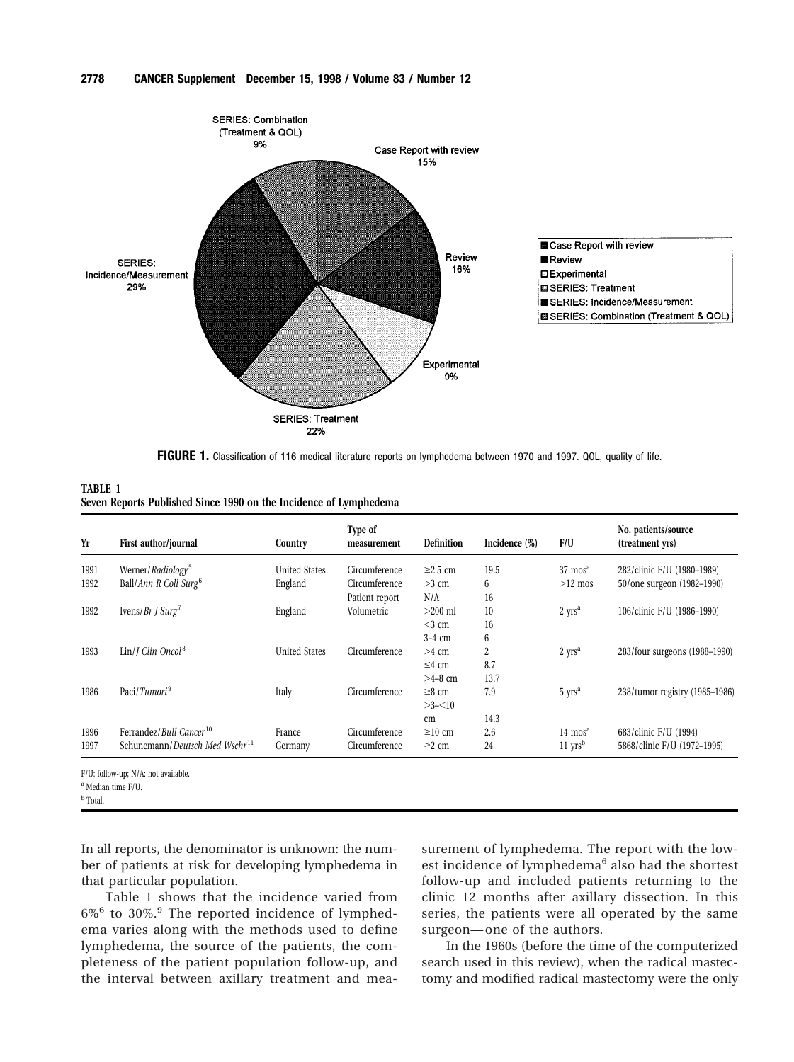

**FIGURE 1.** Classification of 116 medical literature reports on lymphedema between 1970 and 1997. QOL, quality of life.

| <b>TABLE 1</b>                                                    |
|-------------------------------------------------------------------|
| Seven Reports Published Since 1990 on the Incidence of Lymphedema |

| Yr           | First author/journal                                                              | Country              | Type of<br>measurement          | <b>Definition</b>                    | Incidence (%)              | F/U                                                        | No. patients/source<br>(treatment yrs)               |
|--------------|-----------------------------------------------------------------------------------|----------------------|---------------------------------|--------------------------------------|----------------------------|------------------------------------------------------------|------------------------------------------------------|
| 1991         | Werner/Radiology <sup>5</sup>                                                     | <b>United States</b> | Circumference                   | $\geq$ 2.5 cm                        | 19.5                       | $37 \text{ mos}^{\text{a}}$                                | 282/clinic F/U (1980-1989)                           |
| 1992         | Ball/Ann R Coll Surg <sup>6</sup>                                                 | England              | Circumference<br>Patient report | $>3$ cm<br>N/A                       | 6<br>16                    | $>12$ mos                                                  | 50/one surgeon (1982-1990)                           |
| 1992         | Ivens/ $Br J Surg7$                                                               | England              | Volumetric                      | $>200$ ml<br>$<$ 3 cm                | 10<br>16                   | $2$ yrs <sup>a</sup>                                       | 106/clinic F/U (1986-1990)                           |
| 1993         | $Lin/I$ Clin Oncol <sup>8</sup>                                                   | <b>United States</b> | Circumference                   | $3-4$ cm<br>$>4$ cm<br>$\leq$ 4 cm   | 6<br>$\overline{c}$<br>8.7 | $2$ yrs <sup>a</sup>                                       | 283/four surgeons (1988–1990)                        |
| 1986         | Paci/Tumori <sup>9</sup>                                                          | Italy                | Circumference                   | $>4-8$ cm<br>$\geq 8$ cm<br>$>3-<10$ | 13.7<br>7.9                | $5 \text{ yrs}^a$                                          | 238/tumor registry (1985–1986)                       |
| 1996<br>1997 | Ferrandez/Bull Cancer <sup>10</sup><br>Schunemann/Deutsch Med Wschr <sup>11</sup> | France<br>Germany    | Circumference<br>Circumference  | cm<br>$\geq 10$ cm<br>$\geq$ 2 cm    | 14.3<br>2.6<br>24          | $14 \text{ mos}^{\text{a}}$<br>$11 \text{ yrs}^{\text{b}}$ | 683/clinic F/U (1994)<br>5868/clinic F/U (1972-1995) |

F/U: follow-up; N/A: not available.

<sup>a</sup> Median time F/U.

<sup>b</sup> Total.

In all reports, the denominator is unknown: the number of patients at risk for developing lymphedema in that particular population.

Table 1 shows that the incidence varied from 6%<sup>6</sup> to 30%.<sup>9</sup> The reported incidence of lymphedema varies along with the methods used to define lymphedema, the source of the patients, the completeness of the patient population follow-up, and the interval between axillary treatment and measurement of lymphedema. The report with the lowest incidence of lymphedema<sup>6</sup> also had the shortest follow-up and included patients returning to the clinic 12 months after axillary dissection. In this series, the patients were all operated by the same surgeon— one of the authors.

In the 1960s (before the time of the computerized search used in this review), when the radical mastectomy and modified radical mastectomy were the only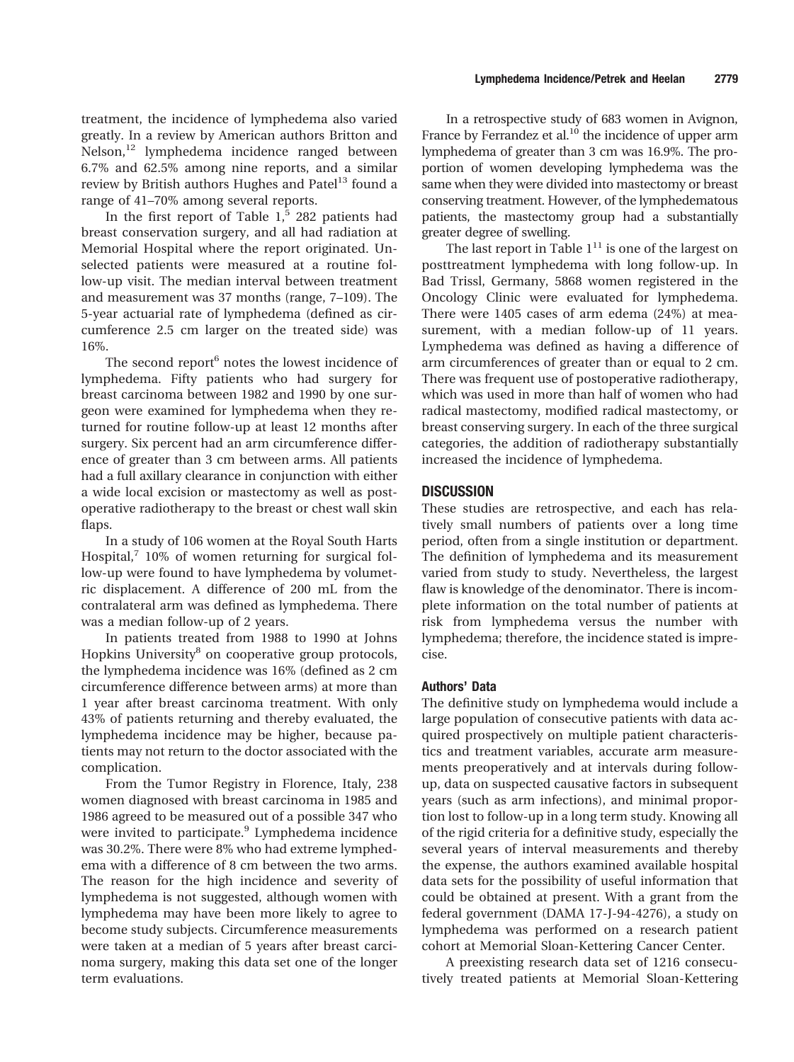In the first report of Table  $1<sup>5</sup>$  282 patients had breast conservation surgery, and all had radiation at Memorial Hospital where the report originated. Unselected patients were measured at a routine follow-up visit. The median interval between treatment and measurement was 37 months (range, 7–109). The 5-year actuarial rate of lymphedema (defined as circumference 2.5 cm larger on the treated side) was 16%.

The second report<sup>6</sup> notes the lowest incidence of lymphedema. Fifty patients who had surgery for breast carcinoma between 1982 and 1990 by one surgeon were examined for lymphedema when they returned for routine follow-up at least 12 months after surgery. Six percent had an arm circumference difference of greater than 3 cm between arms. All patients had a full axillary clearance in conjunction with either a wide local excision or mastectomy as well as postoperative radiotherapy to the breast or chest wall skin flaps.

In a study of 106 women at the Royal South Harts Hospital, $7\,10\%$  of women returning for surgical follow-up were found to have lymphedema by volumetric displacement. A difference of 200 mL from the contralateral arm was defined as lymphedema. There was a median follow-up of 2 years.

In patients treated from 1988 to 1990 at Johns Hopkins University<sup>8</sup> on cooperative group protocols, the lymphedema incidence was 16% (defined as 2 cm circumference difference between arms) at more than 1 year after breast carcinoma treatment. With only 43% of patients returning and thereby evaluated, the lymphedema incidence may be higher, because patients may not return to the doctor associated with the complication.

From the Tumor Registry in Florence, Italy, 238 women diagnosed with breast carcinoma in 1985 and 1986 agreed to be measured out of a possible 347 who were invited to participate.<sup>9</sup> Lymphedema incidence was 30.2%. There were 8% who had extreme lymphedema with a difference of 8 cm between the two arms. The reason for the high incidence and severity of lymphedema is not suggested, although women with lymphedema may have been more likely to agree to become study subjects. Circumference measurements were taken at a median of 5 years after breast carcinoma surgery, making this data set one of the longer term evaluations.

In a retrospective study of 683 women in Avignon, France by Ferrandez et al.<sup>10</sup> the incidence of upper arm lymphedema of greater than 3 cm was 16.9%. The proportion of women developing lymphedema was the same when they were divided into mastectomy or breast conserving treatment. However, of the lymphedematous patients, the mastectomy group had a substantially greater degree of swelling.

The last report in Table  $1<sup>11</sup>$  is one of the largest on posttreatment lymphedema with long follow-up. In Bad Trissl, Germany, 5868 women registered in the Oncology Clinic were evaluated for lymphedema. There were 1405 cases of arm edema (24%) at measurement, with a median follow-up of 11 years. Lymphedema was defined as having a difference of arm circumferences of greater than or equal to 2 cm. There was frequent use of postoperative radiotherapy, which was used in more than half of women who had radical mastectomy, modified radical mastectomy, or breast conserving surgery. In each of the three surgical categories, the addition of radiotherapy substantially increased the incidence of lymphedema.

# **DISCUSSION**

These studies are retrospective, and each has relatively small numbers of patients over a long time period, often from a single institution or department. The definition of lymphedema and its measurement varied from study to study. Nevertheless, the largest flaw is knowledge of the denominator. There is incomplete information on the total number of patients at risk from lymphedema versus the number with lymphedema; therefore, the incidence stated is imprecise.

## **Authors' Data**

The definitive study on lymphedema would include a large population of consecutive patients with data acquired prospectively on multiple patient characteristics and treatment variables, accurate arm measurements preoperatively and at intervals during followup, data on suspected causative factors in subsequent years (such as arm infections), and minimal proportion lost to follow-up in a long term study. Knowing all of the rigid criteria for a definitive study, especially the several years of interval measurements and thereby the expense, the authors examined available hospital data sets for the possibility of useful information that could be obtained at present. With a grant from the federal government (DAMA 17-J-94-4276), a study on lymphedema was performed on a research patient cohort at Memorial Sloan-Kettering Cancer Center.

A preexisting research data set of 1216 consecutively treated patients at Memorial Sloan-Kettering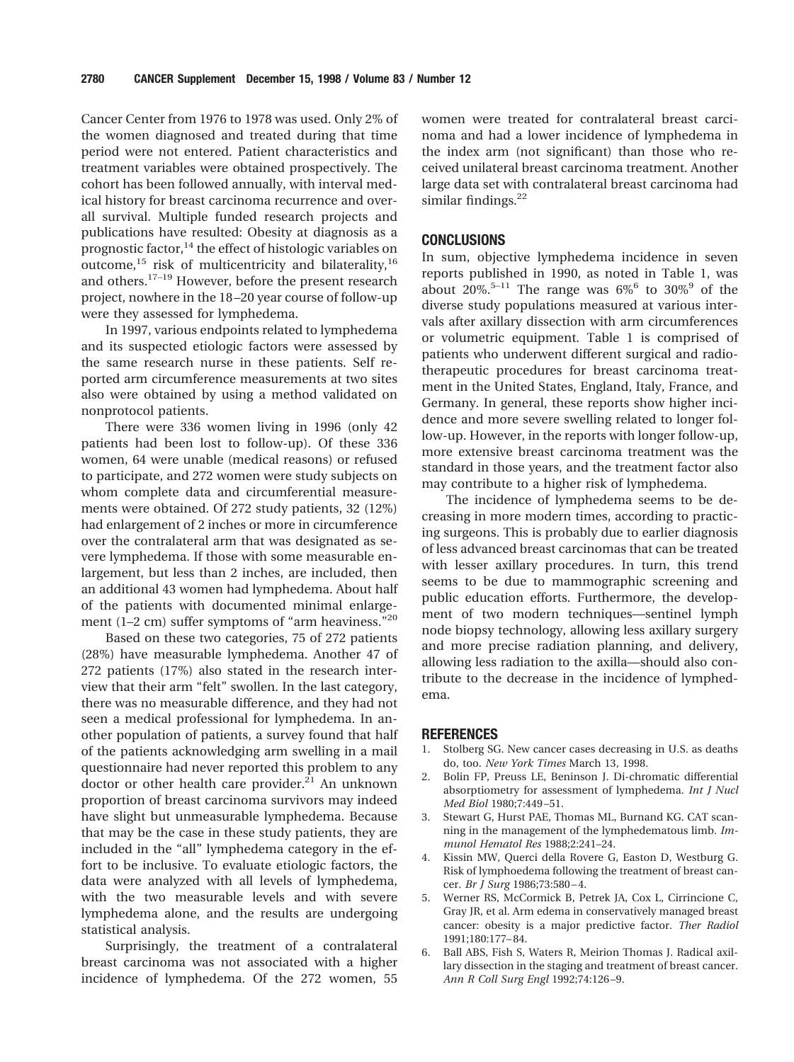Cancer Center from 1976 to 1978 was used. Only 2% of the women diagnosed and treated during that time period were not entered. Patient characteristics and treatment variables were obtained prospectively. The cohort has been followed annually, with interval medical history for breast carcinoma recurrence and overall survival. Multiple funded research projects and publications have resulted: Obesity at diagnosis as a prognostic factor,<sup>14</sup> the effect of histologic variables on outcome, $^{15}$  risk of multicentricity and bilaterality, $^{16}$ and others.17–19 However, before the present research project, nowhere in the 18 –20 year course of follow-up were they assessed for lymphedema.

In 1997, various endpoints related to lymphedema and its suspected etiologic factors were assessed by the same research nurse in these patients. Self reported arm circumference measurements at two sites also were obtained by using a method validated on nonprotocol patients.

There were 336 women living in 1996 (only 42 patients had been lost to follow-up). Of these 336 women, 64 were unable (medical reasons) or refused to participate, and 272 women were study subjects on whom complete data and circumferential measurements were obtained. Of 272 study patients, 32 (12%) had enlargement of 2 inches or more in circumference over the contralateral arm that was designated as severe lymphedema. If those with some measurable enlargement, but less than 2 inches, are included, then an additional 43 women had lymphedema. About half of the patients with documented minimal enlargement (1-2 cm) suffer symptoms of "arm heaviness."<sup>20</sup>

Based on these two categories, 75 of 272 patients (28%) have measurable lymphedema. Another 47 of 272 patients (17%) also stated in the research interview that their arm "felt" swollen. In the last category, there was no measurable difference, and they had not seen a medical professional for lymphedema. In another population of patients, a survey found that half of the patients acknowledging arm swelling in a mail questionnaire had never reported this problem to any doctor or other health care provider. $^{21}$  An unknown proportion of breast carcinoma survivors may indeed have slight but unmeasurable lymphedema. Because that may be the case in these study patients, they are included in the "all" lymphedema category in the effort to be inclusive. To evaluate etiologic factors, the data were analyzed with all levels of lymphedema, with the two measurable levels and with severe lymphedema alone, and the results are undergoing statistical analysis.

Surprisingly, the treatment of a contralateral breast carcinoma was not associated with a higher incidence of lymphedema. Of the 272 women, 55 women were treated for contralateral breast carcinoma and had a lower incidence of lymphedema in the index arm (not significant) than those who received unilateral breast carcinoma treatment. Another large data set with contralateral breast carcinoma had similar findings.<sup>22</sup>

#### **CONCLUSIONS**

In sum, objective lymphedema incidence in seven reports published in 1990, as noted in Table 1, was about 20%.<sup>5–11</sup> The range was  $6\%$ <sup>6</sup> to 30%<sup>9</sup> of the diverse study populations measured at various intervals after axillary dissection with arm circumferences or volumetric equipment. Table 1 is comprised of patients who underwent different surgical and radiotherapeutic procedures for breast carcinoma treatment in the United States, England, Italy, France, and Germany. In general, these reports show higher incidence and more severe swelling related to longer follow-up. However, in the reports with longer follow-up, more extensive breast carcinoma treatment was the standard in those years, and the treatment factor also may contribute to a higher risk of lymphedema.

The incidence of lymphedema seems to be decreasing in more modern times, according to practicing surgeons. This is probably due to earlier diagnosis of less advanced breast carcinomas that can be treated with lesser axillary procedures. In turn, this trend seems to be due to mammographic screening and public education efforts. Furthermore, the development of two modern techniques—sentinel lymph node biopsy technology, allowing less axillary surgery and more precise radiation planning, and delivery, allowing less radiation to the axilla—should also contribute to the decrease in the incidence of lymphedema.

#### **REFERENCES**

- 1. Stolberg SG. New cancer cases decreasing in U.S. as deaths do, too. *New York Times* March 13, 1998.
- 2. Bolin FP, Preuss LE, Beninson J. Di-chromatic differential absorptiometry for assessment of lymphedema. *Int J Nucl Med Biol* 1980;7:449 –51.
- Stewart G, Hurst PAE, Thomas ML, Burnand KG. CAT scanning in the management of the lymphedematous limb. *Immunol Hematol Res* 1988;2:241–24.
- 4. Kissin MW, Querci della Rovere G, Easton D, Westburg G. Risk of lymphoedema following the treatment of breast cancer. *Br J Surg* 1986;73:580 – 4.
- 5. Werner RS, McCormick B, Petrek JA, Cox L, Cirrincione C, Gray JR, et al. Arm edema in conservatively managed breast cancer: obesity is a major predictive factor. *Ther Radiol* 1991;180:177– 84.
- 6. Ball ABS, Fish S, Waters R, Meirion Thomas J. Radical axillary dissection in the staging and treatment of breast cancer. *Ann R Coll Surg Engl* 1992;74:126 –9.